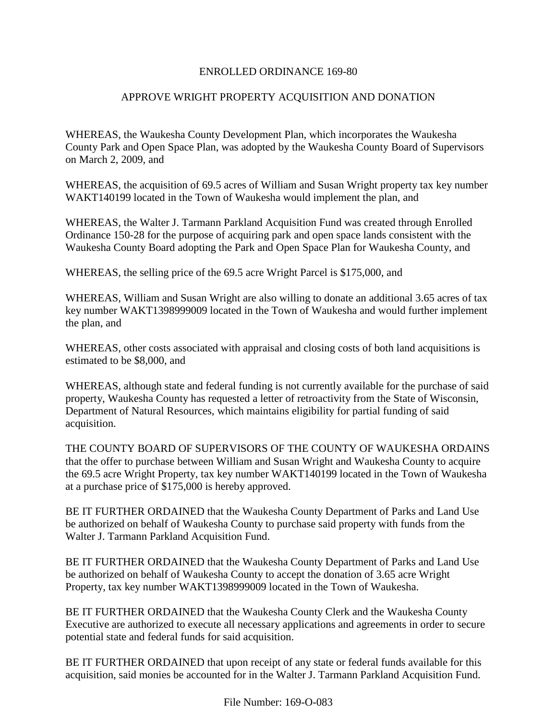## ENROLLED ORDINANCE 169-80

# APPROVE WRIGHT PROPERTY ACQUISITION AND DONATION

WHEREAS, the Waukesha County Development Plan, which incorporates the Waukesha County Park and Open Space Plan, was adopted by the Waukesha County Board of Supervisors on March 2, 2009, and

WHEREAS, the acquisition of 69.5 acres of William and Susan Wright property tax key number WAKT140199 located in the Town of Waukesha would implement the plan, and

WHEREAS, the Walter J. Tarmann Parkland Acquisition Fund was created through Enrolled Ordinance 150-28 for the purpose of acquiring park and open space lands consistent with the Waukesha County Board adopting the Park and Open Space Plan for Waukesha County, and

WHEREAS, the selling price of the 69.5 acre Wright Parcel is \$175,000, and

WHEREAS, William and Susan Wright are also willing to donate an additional 3.65 acres of tax key number WAKT1398999009 located in the Town of Waukesha and would further implement the plan, and

WHEREAS, other costs associated with appraisal and closing costs of both land acquisitions is estimated to be \$8,000, and

WHEREAS, although state and federal funding is not currently available for the purchase of said property, Waukesha County has requested a letter of retroactivity from the State of Wisconsin, Department of Natural Resources, which maintains eligibility for partial funding of said acquisition.

THE COUNTY BOARD OF SUPERVISORS OF THE COUNTY OF WAUKESHA ORDAINS that the offer to purchase between William and Susan Wright and Waukesha County to acquire the 69.5 acre Wright Property, tax key number WAKT140199 located in the Town of Waukesha at a purchase price of \$175,000 is hereby approved.

BE IT FURTHER ORDAINED that the Waukesha County Department of Parks and Land Use be authorized on behalf of Waukesha County to purchase said property with funds from the Walter J. Tarmann Parkland Acquisition Fund.

BE IT FURTHER ORDAINED that the Waukesha County Department of Parks and Land Use be authorized on behalf of Waukesha County to accept the donation of 3.65 acre Wright Property, tax key number WAKT1398999009 located in the Town of Waukesha.

BE IT FURTHER ORDAINED that the Waukesha County Clerk and the Waukesha County Executive are authorized to execute all necessary applications and agreements in order to secure potential state and federal funds for said acquisition.

BE IT FURTHER ORDAINED that upon receipt of any state or federal funds available for this acquisition, said monies be accounted for in the Walter J. Tarmann Parkland Acquisition Fund.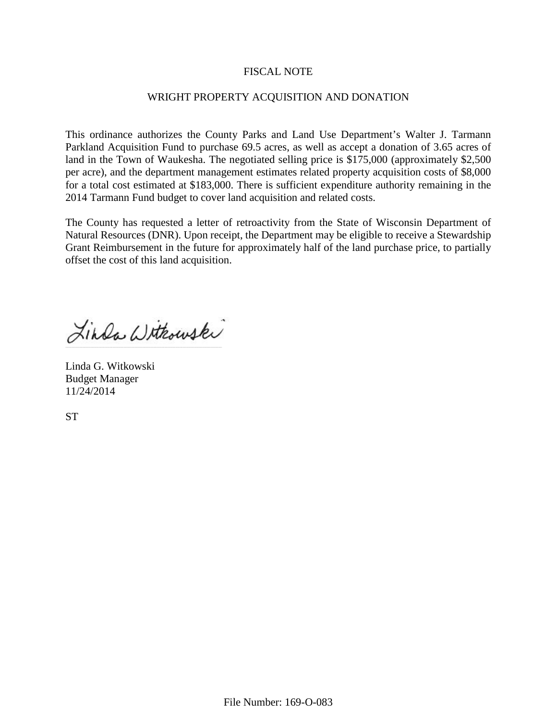## FISCAL NOTE

## WRIGHT PROPERTY ACQUISITION AND DONATION

This ordinance authorizes the County Parks and Land Use Department's Walter J. Tarmann Parkland Acquisition Fund to purchase 69.5 acres, as well as accept a donation of 3.65 acres of land in the Town of Waukesha. The negotiated selling price is \$175,000 (approximately \$2,500) per acre), and the department management estimates related property acquisition costs of \$8,000 for a total cost estimated at \$183,000. There is sufficient expenditure authority remaining in the 2014 Tarmann Fund budget to cover land acquisition and related costs.

The County has requested a letter of retroactivity from the State of Wisconsin Department of Natural Resources (DNR). Upon receipt, the Department may be eligible to receive a Stewardship Grant Reimbursement in the future for approximately half of the land purchase price, to partially offset the cost of this land acquisition.

Linda Withowski

Linda G. Witkowski Budget Manager 11/24/2014

**ST**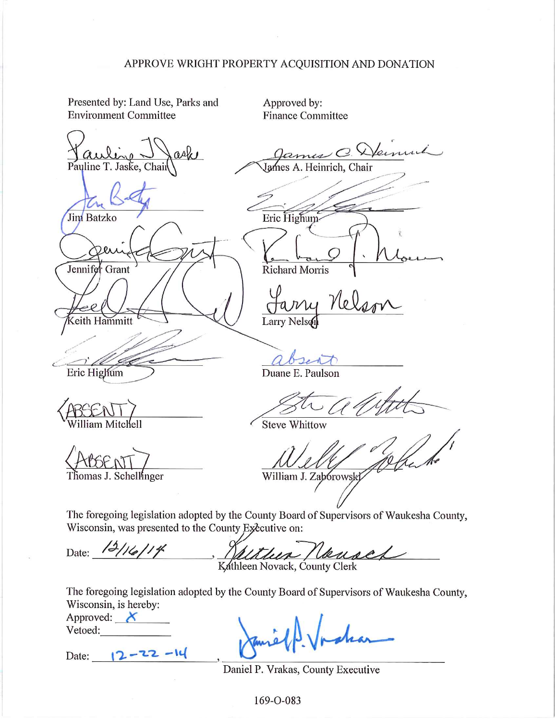### APPROVE WRIGHT PROPERTY ACQUISITION AND DONATION

Presented by: Land Use, Parks and **Environment Committee** 

refu Pauline T. Jaske, Chair

Jim Batzko

Jennifer Grant

eith Hammitt

Eric Highum

Approved by: **Finance Committee** 

O. Demini Heinrich, Chai Eric Highum Richard Morris

Larry Nelso

Duane E. Paulson

**Steve Whittow** 

Thomas J. Schellinger

William J. Zabórowsk

The foregoing legislation adopted by the County Board of Supervisors of Waukesha County, Wisconsin, was presented to the County Executive on:

Date: 12/16/14 Ususes theer Kathleen Novack, County Clerk

The foregoing legislation adopted by the County Board of Supervisors of Waukesha County, Wisconsin, is hereby:

| Approved: |  |
|-----------|--|
| Vetoed:   |  |

Date:  $12 - 22 - 1$ 

Daniel P. Vrakas, County Executive

169-O-083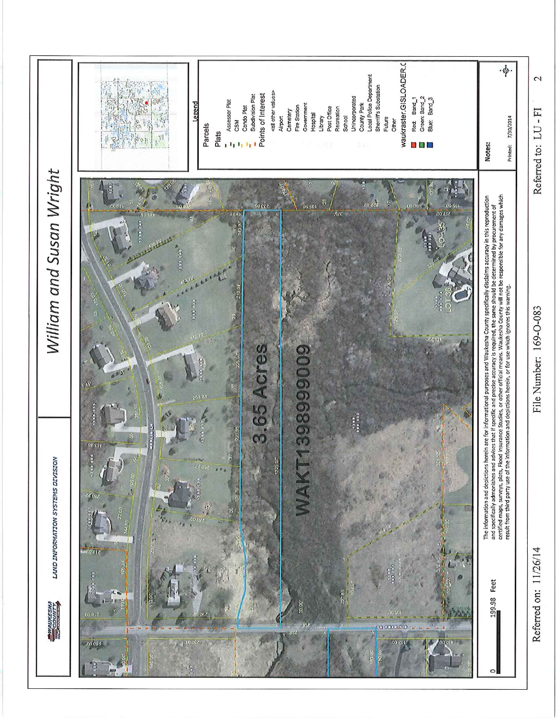